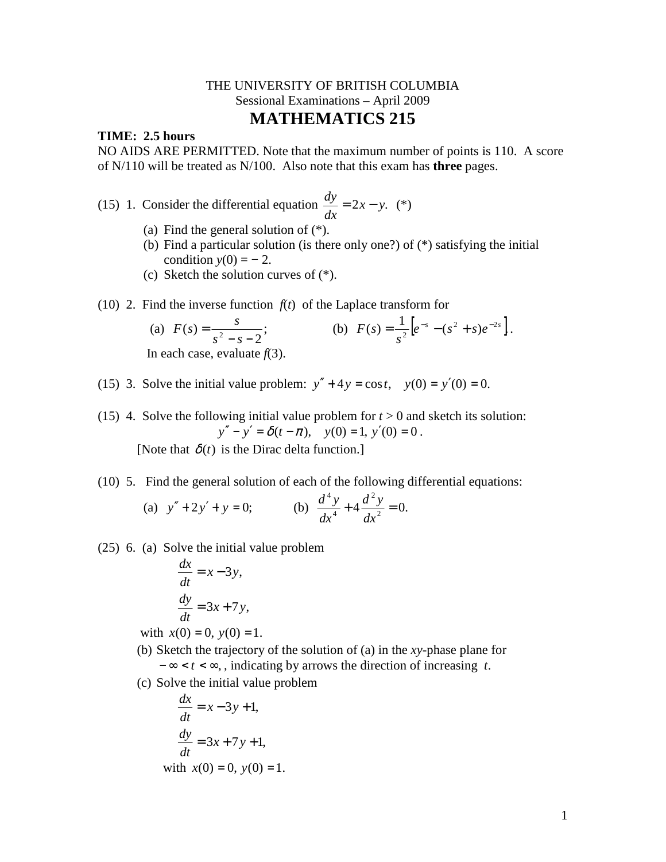## THE UNIVERSITY OF BRITISH COLUMBIA Sessional Examinations – April 2009 **MATHEMATICS 215**

## **TIME: 2.5 hours**

NO AIDS ARE PERMITTED. Note that the maximum number of points is 110. A score of N/110 will be treated as N/100. Also note that this exam has **three** pages.

(15) 1. Consider the differential equation  $\frac{dy}{dx} = 2x - y$ . *dx*  $\frac{dy}{dx} = 2x - y.$  (\*)

- (a) Find the general solution of (\*).
- (b) Find a particular solution (is there only one?) of (\*) satisfying the initial condition  $y(0) = -2$ .
- (c) Sketch the solution curves of (\*).
- (10) 2. Find the inverse function  $f(t)$  of the Laplace transform for

(a) 
$$
F(s) = \frac{s}{s^2 - s - 2}
$$
;  
In each case, evaluate  $f(3)$ .

(15) 3. Solve the initial value problem:  $y'' + 4y = \cos t$ ,  $y(0) = y'(0) = 0$ .

(15) 4. Solve the following initial value problem for  $t > 0$  and sketch its solution:  $y'' - y' = \delta(t - \pi), \quad y(0) = 1, \ y'(0) = 0.$ 

[Note that  $\delta(t)$  is the Dirac delta function.]

(10) 5. Find the general solution of each of the following differential equations:

(a) 
$$
y'' + 2y' + y = 0
$$
;   
 (b)  $\frac{d^4y}{dx^4} + 4\frac{d^2y}{dx^2} = 0$ .

(25) 6. (a) Solve the initial value problem

$$
\frac{dx}{dt} = x - 3y,
$$
  

$$
\frac{dy}{dt} = 3x + 7y,
$$

with  $x(0) = 0$ ,  $y(0) = 1$ .

- (b) Sketch the trajectory of the solution of (a) in the *xy*-phase plane for − ∞ < *t* < ∞, , indicating by arrows the direction of increasing *t*.
- (c) Solve the initial value problem

$$
\frac{dx}{dt} = x - 3y + 1,
$$
  

$$
\frac{dy}{dt} = 3x + 7y + 1,
$$
  
with  $x(0) = 0$ ,  $y(0) = 1$ .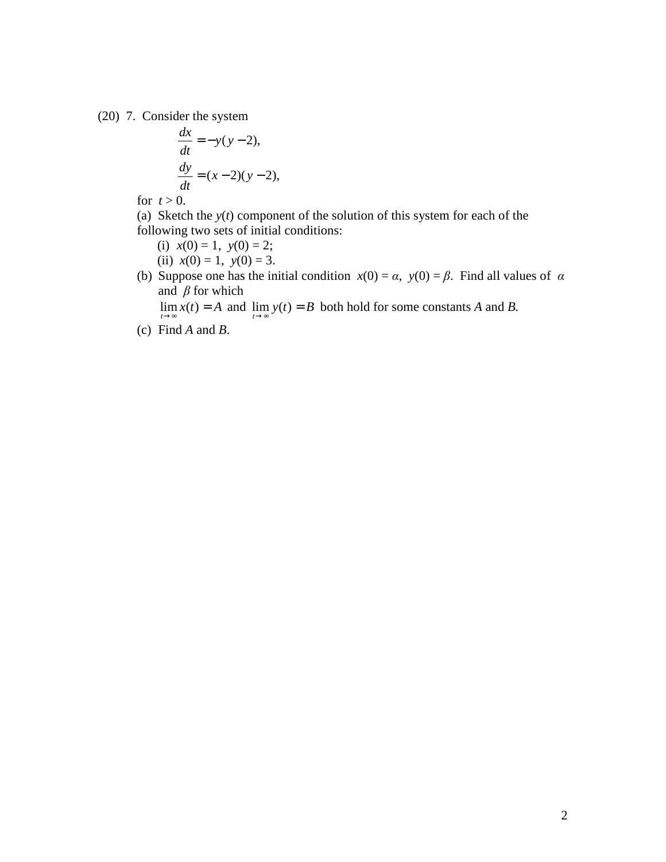(20) 7. Consider the system

$$
\frac{dx}{dt} = -y(y-2),
$$
  

$$
\frac{dy}{dt} = (x-2)(y-2),
$$

- for  $t > 0$ .
- (a) Sketch the *y*(*t*) component of the solution of this system for each of the following two sets of initial conditions:
	- (i)  $x(0) = 1$ ,  $y(0) = 2$ ;

(ii)  $x(0) = 1$ ,  $y(0) = 3$ .

(b) Suppose one has the initial condition  $x(0) = \alpha$ ,  $y(0) = \beta$ . Find all values of  $\alpha$ and  $\beta$  for which

 $\lim_{t \to \infty} x(t) = A$  and  $\lim_{t \to \infty} y(t) = B$  both hold for some constants *A* and *B*.

(c) Find *A* and *B*.